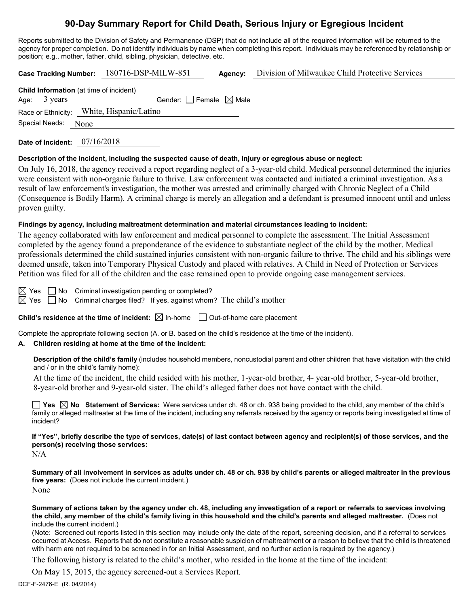# **90-Day Summary Report for Child Death, Serious Injury or Egregious Incident**

Reports submitted to the Division of Safety and Permanence (DSP) that do not include all of the required information will be returned to the agency for proper completion. Do not identify individuals by name when completing this report. Individuals may be referenced by relationship or position; e.g., mother, father, child, sibling, physician, detective, etc.

**Case Tracking Number:** 180716-DSP-MILW-851 **Agency:** Division of Milwaukee Child Protective Services

| Child Information (at time of incident) |                                           |  |  |  |
|-----------------------------------------|-------------------------------------------|--|--|--|
| Age: $3 \text{ years}$                  | Gender: $ $ Female $\boxtimes$ Male       |  |  |  |
|                                         | Race or Ethnicity: White, Hispanic/Latino |  |  |  |
| Special Needs: None                     |                                           |  |  |  |
|                                         |                                           |  |  |  |

**Date of Incident:** 07/16/2018

#### **Description of the incident, including the suspected cause of death, injury or egregious abuse or neglect:**

On July 16, 2018, the agency received a report regarding neglect of a 3-year-old child. Medical personnel determined the injuries were consistent with non-organic failure to thrive. Law enforcement was contacted and initiated a criminal investigation. As a result of law enforcement's investigation, the mother was arrested and criminally charged with Chronic Neglect of a Child (Consequence is Bodily Harm). A criminal charge is merely an allegation and a defendant is presumed innocent until and unless proven guilty.

#### **Findings by agency, including maltreatment determination and material circumstances leading to incident:**

The agency collaborated with law enforcement and medical personnel to complete the assessment. The Initial Assessment completed by the agency found a preponderance of the evidence to substantiate neglect of the child by the mother. Medical professionals determined the child sustained injuries consistent with non-organic failure to thrive. The child and his siblings were deemed unsafe, taken into Temporary Physical Custody and placed with relatives. A Child in Need of Protection or Services Petition was filed for all of the children and the case remained open to provide ongoing case management services.

 $\boxtimes$  Yes  $\Box$  No Criminal investigation pending or completed?

 $\boxtimes$  Yes  $\Box$  No Criminal charges filed? If yes, against whom? The child's mother

**Child's residence at the time of incident:**  $\boxtimes$  In-home  $\Box$  Out-of-home care placement

Complete the appropriate following section (A. or B. based on the child's residence at the time of the incident).

# **A. Children residing at home at the time of the incident:**

**Description of the child's family** (includes household members, noncustodial parent and other children that have visitation with the child and / or in the child's family home):

At the time of the incident, the child resided with his mother, 1-year-old brother, 4- year-old brother, 5-year-old brother, 8-year-old brother and 9-year-old sister. The child's alleged father does not have contact with the child.

**Yes No Statement of Services:** Were services under ch. 48 or ch. 938 being provided to the child, any member of the child's family or alleged maltreater at the time of the incident, including any referrals received by the agency or reports being investigated at time of incident?

## **If "Yes", briefly describe the type of services, date(s) of last contact between agency and recipient(s) of those services, and the person(s) receiving those services:**

N/A

**Summary of all involvement in services as adults under ch. 48 or ch. 938 by child's parents or alleged maltreater in the previous five years:** (Does not include the current incident.) None

**Summary of actions taken by the agency under ch. 48, including any investigation of a report or referrals to services involving the child, any member of the child's family living in this household and the child's parents and alleged maltreater.** (Does not include the current incident.)

(Note: Screened out reports listed in this section may include only the date of the report, screening decision, and if a referral to services occurred at Access. Reports that do not constitute a reasonable suspicion of maltreatment or a reason to believe that the child is threatened with harm are not required to be screened in for an Initial Assessment, and no further action is required by the agency.)

The following history is related to the child's mother, who resided in the home at the time of the incident:

On May 15, 2015, the agency screened-out a Services Report.